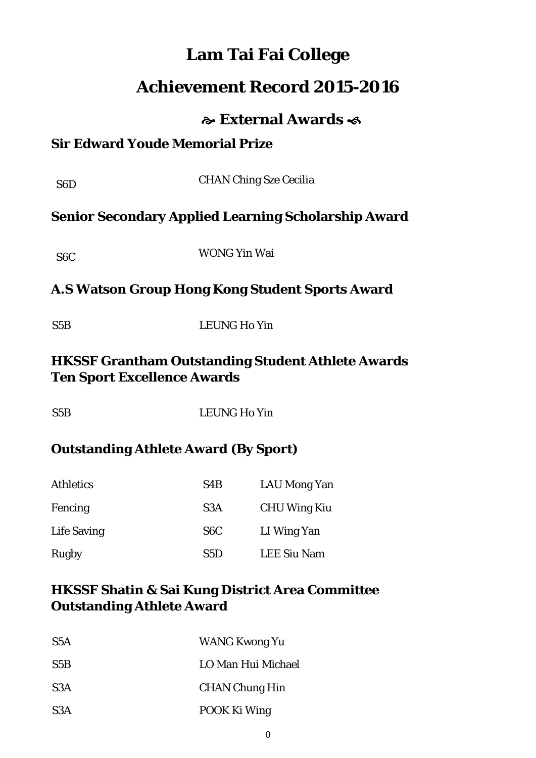## **Lam Tai Fai College**

## **Achievement Record 2015-2016**

## **External Awards**

## **Sir Edward Youde Memorial Prize**

| S <sub>6</sub> D                                                                               | <b>CHAN Ching Sze Cecilia</b>                              |  |  |
|------------------------------------------------------------------------------------------------|------------------------------------------------------------|--|--|
|                                                                                                | <b>Senior Secondary Applied Learning Scholarship Award</b> |  |  |
| S <sub>6</sub> C                                                                               | <b>WONG Yin Wai</b>                                        |  |  |
| A.S Watson Group Hong Kong Student Sports Award                                                |                                                            |  |  |
| S5B                                                                                            | <b>LEUNG Ho Yin</b>                                        |  |  |
| <b>HKSSF Grantham Outstanding Student Athlete Awards</b><br><b>Ten Sport Excellence Awards</b> |                                                            |  |  |
| S5B                                                                                            | <b>LEUNG Ho Yin</b>                                        |  |  |
| <b>Outstanding Athlete Award (By Sport)</b>                                                    |                                                            |  |  |

# Athletics S4B LAU Mong Yan Fencing S3A CHU Wing Kiu Life Saving S6C LI Wing Yan Rugby S5D LEE Siu Nam

## **HKSSF Shatin & Sai Kung District Area Committee Outstanding Athlete Award**

| S5A              | <b>WANG Kwong Yu</b>  |
|------------------|-----------------------|
| S5B              | LO Man Hui Michael    |
| S <sub>3</sub> A | <b>CHAN Chung Hin</b> |
| S <sub>3</sub> A | POOK Ki Wing          |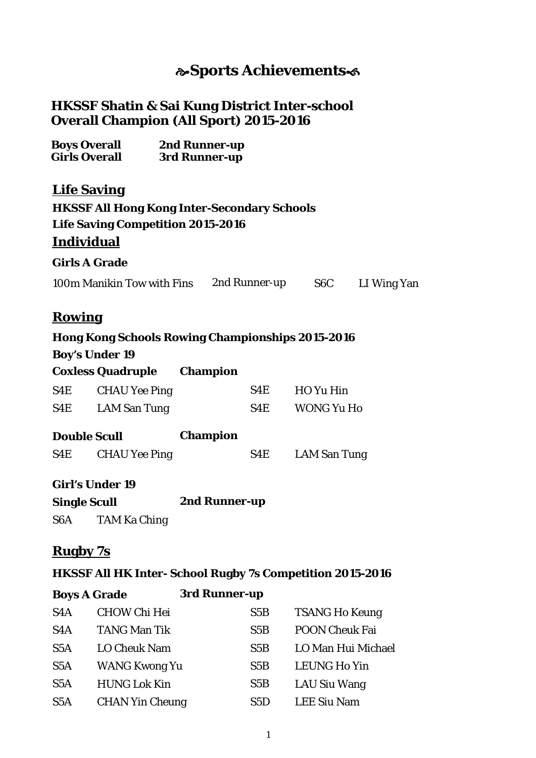## **Sports Achievements**

#### **HKSSF Shatin & Sai Kung District Inter-school Overall Champion (All Sport) 2015-2016**

| <b>Boys Overall</b>  | 2nd Runner-up |
|----------------------|---------------|
| <b>Girls Overall</b> | 3rd Runner-up |

#### **Life Saving**

#### **HKSSF All Hong Kong Inter-Secondary Schools Life Saving Competition 2015-2016**

#### **Individual**

#### **Girls A Grade**

100m Manikin Tow with Fins 2nd Runner-up S6C LI Wing Yan

#### **Rowing**

## **Hong Kong Schools Rowing Championships 2015-2016 Boy's Under 19 Coxless Quadruple Champion** S4E CHAU Yee Ping S4E HO Yu Hin S4E LAM San Tung S4E WONG Yu Ho **Double Scull Champion** S4E CHAU Yee Ping S4E LAM San Tung

#### **Girl's Under 19**

| <b>Single Scull</b> | 2nd Runner-up |
|---------------------|---------------|
|                     |               |

S6A TAM Ka Ching

#### **Rugby 7s**

#### **HKSSF All HK Inter- School Rugby 7s Competition 2015-2016**

| <b>Boys A Grade</b> |                        | 3rd Runner-up |                       |
|---------------------|------------------------|---------------|-----------------------|
| S <sub>4</sub> A    | <b>CHOW Chi Hei</b>    | S5B           | <b>TSANG Ho Keung</b> |
| S <sub>4</sub> A    | <b>TANG Man Tik</b>    | S5B           | <b>POON Cheuk Fai</b> |
| S <sub>5</sub> A    | <b>LO Cheuk Nam</b>    | S5B           | LO Man Hui Michael    |
| S <sub>5</sub> A    | <b>WANG Kwong Yu</b>   | S5B           | <b>LEUNG Ho Yin</b>   |
| S <sub>5</sub> A    | <b>HUNG Lok Kin</b>    | S5B           | LAU Siu Wang          |
| S <sub>5</sub> A    | <b>CHAN Yin Cheung</b> | S5D           | <b>LEE Siu Nam</b>    |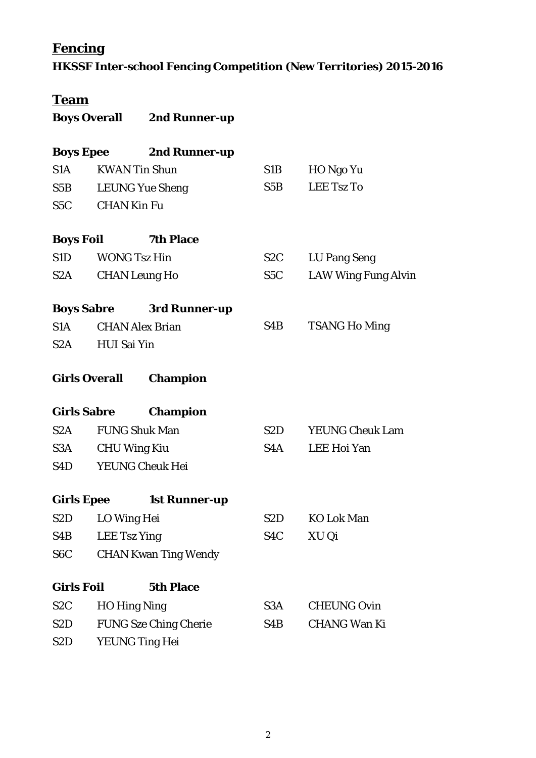## **Fencing**

**HKSSF Inter-school Fencing Competition (New Territories) 2015-2016**

# **Team**

| <b>Boys Overall</b> | 2nd Runner-up |
|---------------------|---------------|
|                     |               |

|                                                                                                                                                                                                                                |                      | <b>Boys Epee</b> 2nd Runner-up  |                  |                            |
|--------------------------------------------------------------------------------------------------------------------------------------------------------------------------------------------------------------------------------|----------------------|---------------------------------|------------------|----------------------------|
| S1A                                                                                                                                                                                                                            |                      | <b>KWAN Tin Shun</b>            | S1B              | HO Ngo Yu                  |
| S5B                                                                                                                                                                                                                            |                      | <b>LEUNG Yue Sheng</b>          | S5B              | <b>LEE Tsz To</b>          |
| S5C                                                                                                                                                                                                                            | <b>CHAN Kin Fu</b>   |                                 |                  |                            |
|                                                                                                                                                                                                                                | <b>Boys Foil</b>     | <b>7th Place</b>                |                  |                            |
| S1D                                                                                                                                                                                                                            |                      | <b>WONG Tsz Hin</b>             | S2C              | LU Pang Seng               |
| S <sub>2</sub> A                                                                                                                                                                                                               |                      | <b>CHAN Leung Ho</b>            | S5C              | <b>LAW Wing Fung Alvin</b> |
|                                                                                                                                                                                                                                |                      | <b>Boys Sabre 3rd Runner-up</b> |                  |                            |
| S1A                                                                                                                                                                                                                            |                      | <b>CHAN Alex Brian</b>          | S4B              | <b>TSANG Ho Ming</b>       |
| S <sub>2</sub> A                                                                                                                                                                                                               | <b>HUI Sai Yin</b>   |                                 |                  |                            |
|                                                                                                                                                                                                                                | <b>Girls Overall</b> | <b>Champion</b>                 |                  |                            |
|                                                                                                                                                                                                                                | <b>Girls Sabre</b>   | <b>Champion</b>                 |                  |                            |
| S2A                                                                                                                                                                                                                            |                      | <b>FUNG Shuk Man</b>            |                  | S2D YEUNG Cheuk Lam        |
| S3A                                                                                                                                                                                                                            |                      | <b>CHU Wing Kiu</b>             | S4A              | LEE Hoi Yan                |
| S4D and the set of the set of the set of the set of the set of the set of the set of the set of the set of the set of the set of the set of the set of the set of the set of the set of the set of the set of the set of the s |                      | <b>YEUNG Cheuk Hei</b>          |                  |                            |
|                                                                                                                                                                                                                                | <b>Girls Epee</b>    | <b>1st Runner-up</b>            |                  |                            |
| S2D <sub>a</sub>                                                                                                                                                                                                               | LO Wing Hei          |                                 | S2D              | <b>KO Lok Man</b>          |
| S4B                                                                                                                                                                                                                            | <b>LEE Tsz Ying</b>  |                                 | S <sub>4</sub> C | XU Qi                      |
| S <sub>6</sub> C                                                                                                                                                                                                               |                      | <b>CHAN Kwan Ting Wendy</b>     |                  |                            |
| <b>Girls Foil</b>                                                                                                                                                                                                              |                      | <b>5th Place</b>                |                  |                            |
| S <sub>2</sub> C                                                                                                                                                                                                               |                      | <b>HO Hing Ning</b>             | S3A              | <b>CHEUNG Ovin</b>         |
| S <sub>2</sub> D                                                                                                                                                                                                               |                      | <b>FUNG Sze Ching Cherie</b>    | S4B              | <b>CHANG Wan Ki</b>        |
| S <sub>2</sub> D                                                                                                                                                                                                               |                      | <b>YEUNG Ting Hei</b>           |                  |                            |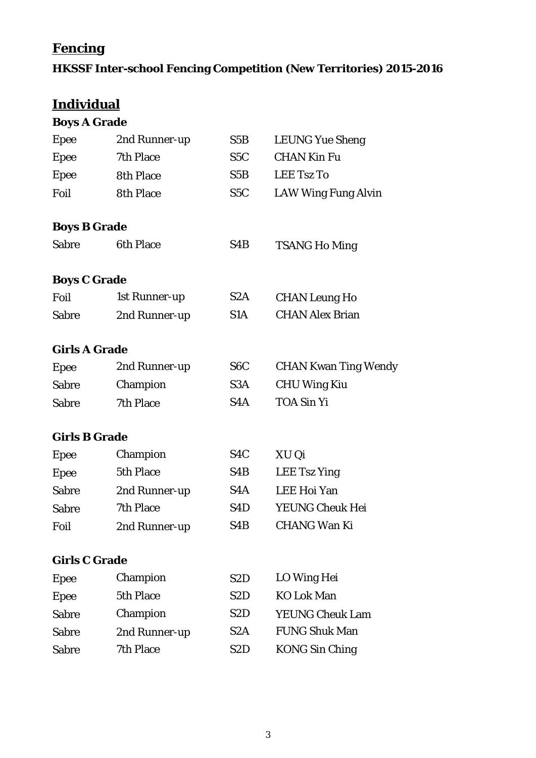## **Fencing**

## **HKSSF Inter-school Fencing Competition (New Territories) 2015-2016**

## **Individual**

| <b>Boys A Grade</b>  |                  |                  |                             |
|----------------------|------------------|------------------|-----------------------------|
| <b>Epee</b>          | 2nd Runner-up    | S5B              | <b>LEUNG Yue Sheng</b>      |
| <b>Epee</b>          | 7th Place        | S5C              | <b>CHAN Kin Fu</b>          |
| Epee                 | <b>8th Place</b> | S5B              | <b>LEE Tsz To</b>           |
| Foil                 | <b>8th Place</b> | S <sub>5</sub> C | <b>LAW Wing Fung Alvin</b>  |
| <b>Boys B Grade</b>  |                  |                  |                             |
| <b>Sabre</b>         | <b>6th Place</b> | S <sub>4</sub> B | <b>TSANG Ho Ming</b>        |
| <b>Boys C Grade</b>  |                  |                  |                             |
| Foil                 | 1st Runner-up    | S <sub>2</sub> A | <b>CHAN Leung Ho</b>        |
| <b>Sabre</b>         | 2nd Runner-up    | S1A              | <b>CHAN Alex Brian</b>      |
| <b>Girls A Grade</b> |                  |                  |                             |
| <b>Epee</b>          | 2nd Runner-up    | S <sub>6</sub> C | <b>CHAN Kwan Ting Wendy</b> |
| <b>Sabre</b>         | Champion         | S <sub>3</sub> A | <b>CHU Wing Kiu</b>         |
| <b>Sabre</b>         | 7th Place        | S4A              | <b>TOA Sin Yi</b>           |
| <b>Girls B Grade</b> |                  |                  |                             |
| <b>Epee</b>          | Champion         | S <sub>4</sub> C | XU Qi                       |
| <b>Epee</b>          | 5th Place        | S <sub>4</sub> B | <b>LEE Tsz Ying</b>         |
| <b>Sabre</b>         | 2nd Runner-up    | S <sub>4</sub> A | <b>LEE Hoi Yan</b>          |
| <b>Sabre</b>         | 7th Place        | S <sub>4</sub> D | <b>YEUNG Cheuk Hei</b>      |
| Foil                 | 2nd Runner-up    | S <sub>4</sub> B | <b>CHANG Wan Ki</b>         |
| <b>Girls C Grade</b> |                  |                  |                             |

| Epee         | Champion      | S <sub>2</sub> D | LO Wing Hei            |
|--------------|---------------|------------------|------------------------|
| Epee         | 5th Place     | S <sub>2</sub> D | <b>KO Lok Man</b>      |
| <b>Sabre</b> | Champion      | S <sub>2</sub> D | <b>YEUNG Cheuk Lam</b> |
| <b>Sabre</b> | 2nd Runner-up | S2A              | <b>FUNG Shuk Man</b>   |
| <b>Sabre</b> | 7th Place     | S <sub>2</sub> D | <b>KONG Sin Ching</b>  |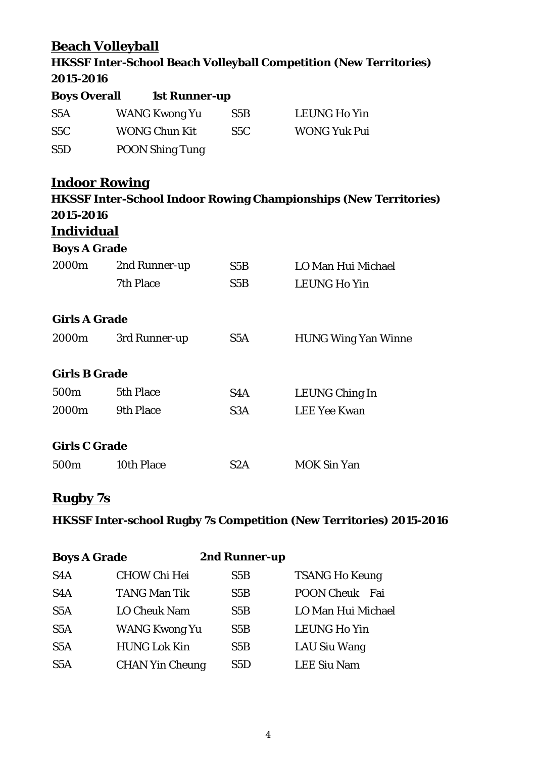## **Beach Volleyball**

## **HKSSF Inter-School Beach Volleyball Competition (New Territories) 2015-2016**

| <b>Boys Overall</b> | <b>1st Runner-up</b>   |                  |                     |
|---------------------|------------------------|------------------|---------------------|
| S <sub>5</sub> A    | WANG Kwong Yu          | S <sub>5</sub> B | <b>LEUNG Ho Yin</b> |
| S5C                 | <b>WONG Chun Kit</b>   | S5C              | <b>WONG Yuk Pui</b> |
| S <sub>5</sub> D    | <b>POON Shing Tung</b> |                  |                     |

# **Indoor Rowing HKSSF Inter-School Indoor Rowing Championships (New Territories) 2015-2016 Individual Boys A Grade** 2000m 2nd Runner-up S5B LO Man Hui Michael 7th Place S5B LEUNG Ho Yin **Girls A Grade** 2000m 3rd Runner-up S5A HUNG Wing Yan Winne **Girls B Grade** 500m 5th Place S4A LEUNG Ching In 2000m 9th Place S3A LEE Yee Kwan **Girls C Grade** 500m 10th Place S2A MOK Sin Yan

#### **Rugby 7s**

#### **HKSSF Inter-school Rugby 7s Competition (New Territories) 2015-2016**

| <b>Boys A Grade</b> |                        | 2nd Runner-up |                          |
|---------------------|------------------------|---------------|--------------------------|
| S <sub>4</sub> A    | <b>CHOW Chi Hei</b>    | S5B           | <b>TSANG Ho Keung</b>    |
| S <sub>4</sub> A    | <b>TANG Man Tik</b>    | S5B           | <b>POON Cheuk</b><br>Fai |
| S <sub>5</sub> A    | <b>LO Cheuk Nam</b>    | S5B           | LO Man Hui Michael       |
| S <sub>5</sub> A    | <b>WANG Kwong Yu</b>   | S5B           | <b>LEUNG Ho Yin</b>      |
| S5A                 | <b>HUNG Lok Kin</b>    | S5B           | <b>LAU Siu Wang</b>      |
| S <sub>5</sub> A    | <b>CHAN Yin Cheung</b> | S5D           | <b>LEE Siu Nam</b>       |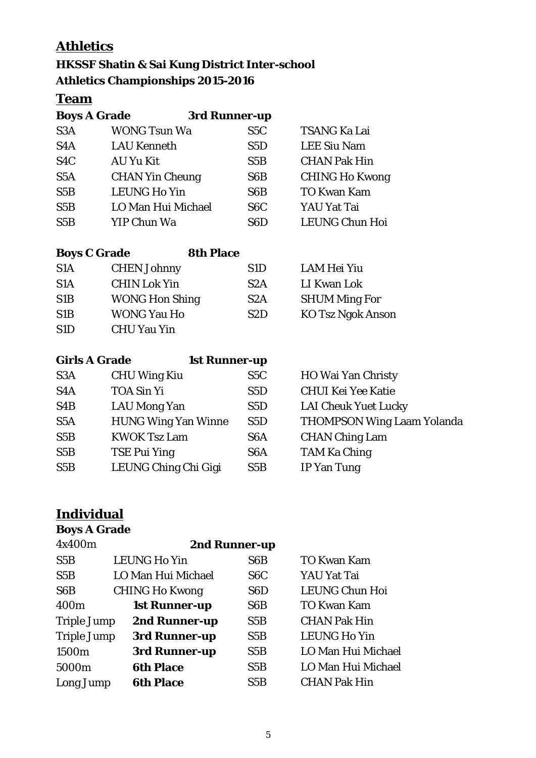## **Athletics**

### **HKSSF Shatin & Sai Kung District Inter-school Athletics Championships 2015-2016**

### **Team**

| <b>Boys A Grade</b> |                        | 3rd Runner-up    |                       |
|---------------------|------------------------|------------------|-----------------------|
| S <sub>3</sub> A    | <b>WONG Tsun Wa</b>    | S5C              | <b>TSANG Ka Lai</b>   |
| S <sub>4</sub> A    | <b>LAU Kenneth</b>     | S5D              | <b>LEE Siu Nam</b>    |
| S <sub>4</sub> C    | AU Yu Kit              | S5B              | <b>CHAN Pak Hin</b>   |
| S <sub>5</sub> A    | <b>CHAN Yin Cheung</b> | S <sub>6</sub> B | <b>CHING Ho Kwong</b> |
| S5B                 | <b>LEUNG Ho Yin</b>    | S <sub>6</sub> B | <b>TO Kwan Kam</b>    |
| S5B                 | LO Man Hui Michael     | S <sub>6</sub> C | YAU Yat Tai           |
| S5B                 | YIP Chun Wa            | S <sub>6</sub> D | <b>LEUNG Chun Hoi</b> |

| <b>Boys C Grade</b> |                       | <b>8th Place</b> |  |
|---------------------|-----------------------|------------------|--|
| S <sub>1</sub> A    | <b>CHEN Johnny</b>    | S <sub>1</sub> D |  |
| S <sub>1</sub> A    | <b>CHIN Lok Yin</b>   | S2A              |  |
| S <sub>1</sub> B    | <b>WONG Hon Shing</b> | S2A              |  |
| S <sub>1</sub> B    | <b>WONG Yau Ho</b>    | S <sub>2</sub> D |  |
| S <sub>1</sub> D    | <b>CHU Yau Yin</b>    |                  |  |

LAM Hei Yiu LI Kwan Lok **SHUM Ming For** KO Tsz Ngok Anson

| <b>Girls A Grade</b> | <b>1st Runner-up</b>       |                  |                                   |
|----------------------|----------------------------|------------------|-----------------------------------|
| S <sub>3</sub> A     | <b>CHU Wing Kiu</b>        | S <sub>5</sub> C | HO Wai Yan Christy                |
| S <sub>4</sub> A     | <b>TOA Sin Yi</b>          | S <sub>5</sub> D | <b>CHUI Kei Yee Katie</b>         |
| S <sub>4</sub> B     | <b>LAU Mong Yan</b>        | S5D              | <b>LAI Cheuk Yuet Lucky</b>       |
| S <sub>5</sub> A     | <b>HUNG Wing Yan Winne</b> | S5D              | <b>THOMPSON Wing Laam Yolanda</b> |
| S5B                  | <b>KWOK Tsz Lam</b>        | S <sub>6</sub> A | <b>CHAN Ching Lam</b>             |
| S5B                  | <b>TSE Pui Ying</b>        | S <sub>6</sub> A | <b>TAM Ka Ching</b>               |
| S5B                  | LEUNG Ching Chi Gigi       | S5B              | <b>IP Yan Tung</b>                |

## **Individual**

## **Boys A Grade**

| 4x400m             | 2nd Runner-up         |                  |                       |  |  |
|--------------------|-----------------------|------------------|-----------------------|--|--|
| S5B                | <b>LEUNG Ho Yin</b>   | S <sub>6</sub> B | <b>TO Kwan Kam</b>    |  |  |
| S5B                | LO Man Hui Michael    | S <sub>6</sub> C | YAU Yat Tai           |  |  |
| S <sub>6</sub> B   | <b>CHING Ho Kwong</b> | S <sub>6</sub> D | <b>LEUNG Chun Hoi</b> |  |  |
| 400 <sub>m</sub>   | <b>1st Runner-up</b>  | S6B              | <b>TO Kwan Kam</b>    |  |  |
| <b>Triple Jump</b> | 2nd Runner-up         | S5B              | <b>CHAN Pak Hin</b>   |  |  |
| <b>Triple Jump</b> | 3rd Runner-up         | S5B              | <b>LEUNG Ho Yin</b>   |  |  |
| 1500m              | 3rd Runner-up         | S5B              | LO Man Hui Michael    |  |  |
| 5000m              | <b>6th Place</b>      | S5B              | LO Man Hui Michael    |  |  |
| Long Jump          | <b>6th Place</b>      | S5B              | <b>CHAN Pak Hin</b>   |  |  |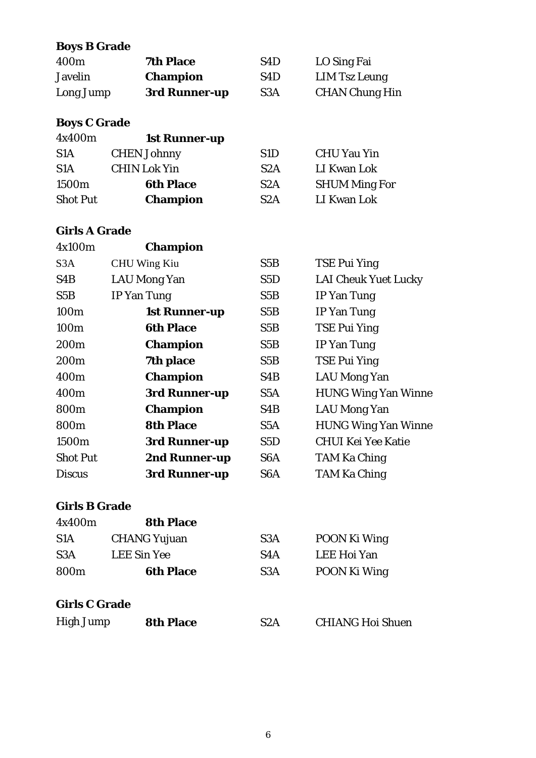#### **Boys B Grade**

| 400m      | <b>7th Place</b> | S4D              | LO Sing Fai           |
|-----------|------------------|------------------|-----------------------|
| Javelin   | <b>Champion</b>  | S <sub>4</sub> D | LIM Tsz Leung         |
| Long Jump | 3rd Runner-up    | S <sub>3</sub> A | <b>CHAN Chung Hin</b> |

#### **Boys C Grade**

| 4x400m           | <b>1st Runner-up</b> |                  |                      |
|------------------|----------------------|------------------|----------------------|
| S <sub>1</sub> A | <b>CHEN Johnny</b>   | S <sub>1</sub> D | <b>CHU Yau Yin</b>   |
| S1A              | <b>CHIN Lok Yin</b>  | S2A              | LI Kwan Lok          |
| 1500m            | <b>6th Place</b>     | S <sub>2</sub> A | <b>SHUM Ming For</b> |
| <b>Shot Put</b>  | <b>Champion</b>      | S2A              | LI Kwan Lok          |

#### **Girls A Grade**

| 4x100m           | <b>Champion</b>      |                  |                             |
|------------------|----------------------|------------------|-----------------------------|
| S3A              | <b>CHU Wing Kiu</b>  | S5B              | <b>TSE Pui Ying</b>         |
| S4B              | <b>LAU Mong Yan</b>  | S5D              | <b>LAI Cheuk Yuet Lucky</b> |
| S5B              | <b>IP</b> Yan Tung   | S5B              | <b>IP Yan Tung</b>          |
| 100m             | <b>1st Runner-up</b> | S5B              | <b>IP Yan Tung</b>          |
| 100 <sub>m</sub> | <b>6th Place</b>     | S5B              | <b>TSE Pui Ying</b>         |
| 200 <sub>m</sub> | <b>Champion</b>      | S5B              | <b>IP Yan Tung</b>          |
| 200 <sub>m</sub> | 7th place            | S5B              | <b>TSE Pui Ying</b>         |
| 400 <sub>m</sub> | <b>Champion</b>      | S4B              | <b>LAU Mong Yan</b>         |
| 400m             | 3rd Runner-up        | S5A              | <b>HUNG Wing Yan Winne</b>  |
| 800m             | <b>Champion</b>      | S4B              | <b>LAU Mong Yan</b>         |
| 800m             | <b>8th Place</b>     | S5A              | <b>HUNG Wing Yan Winne</b>  |
| 1500m            | 3rd Runner-up        | S5D              | <b>CHUI Kei Yee Katie</b>   |
| <b>Shot Put</b>  | 2nd Runner-up        | S <sub>6</sub> A | <b>TAM Ka Ching</b>         |
| <b>Discus</b>    | 3rd Runner-up        | S <sub>6</sub> A | <b>TAM Ka Ching</b>         |

#### **Girls B Grade**

| 4x400m               | <b>8th Place</b>    |                  |                         |
|----------------------|---------------------|------------------|-------------------------|
| S <sub>1</sub> A     | <b>CHANG Yujuan</b> | S <sub>3</sub> A | <b>POON Ki Wing</b>     |
| S <sub>3</sub> A     | <b>LEE Sin Yee</b>  | S <sub>4</sub> A | LEE Hoi Yan             |
| 800 <sub>m</sub>     | <b>6th Place</b>    | S <sub>3</sub> A | POON Ki Wing            |
| <b>Girls C Grade</b> |                     |                  |                         |
| <b>High Jump</b>     | <b>8th Place</b>    | S2A              | <b>CHIANG Hoi Shuen</b> |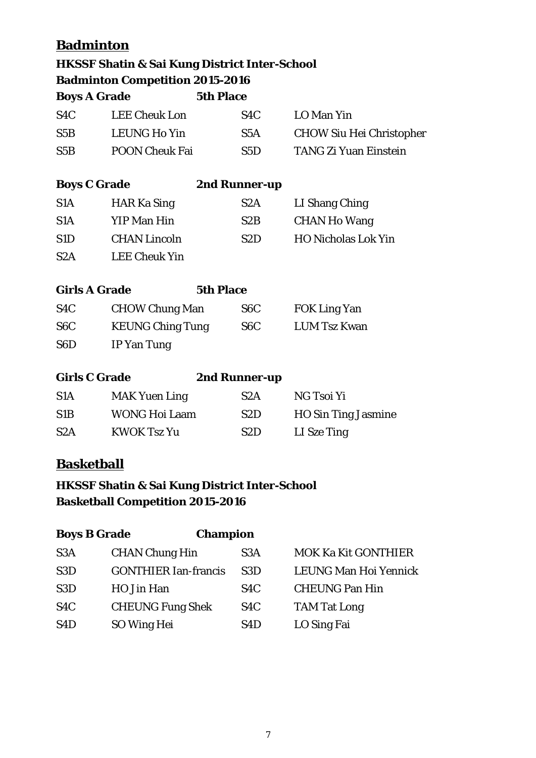## **Badminton**

|                      | <b>HKSSF Shatin &amp; Sai Kung District Inter-School</b> |                  |                  |                                 |
|----------------------|----------------------------------------------------------|------------------|------------------|---------------------------------|
|                      | <b>Badminton Competition 2015-2016</b>                   |                  |                  |                                 |
| <b>Boys A Grade</b>  |                                                          | <b>5th Place</b> |                  |                                 |
| S <sub>4</sub> C     | <b>LEE Cheuk Lon</b>                                     |                  | S <sub>4</sub> C | LO Man Yin                      |
| S5B                  | <b>LEUNG Ho Yin</b>                                      |                  | S5A              | <b>CHOW Siu Hei Christopher</b> |
| S5B                  | <b>POON Cheuk Fai</b>                                    |                  | S5D              | <b>TANG Zi Yuan Einstein</b>    |
| <b>Boys C Grade</b>  |                                                          |                  | 2nd Runner-up    |                                 |
| S <sub>1</sub> A     | <b>HAR Ka Sing</b>                                       |                  | S <sub>2</sub> A | LI Shang Ching                  |
| S1A                  | <b>YIP Man Hin</b>                                       |                  | S2B              | <b>CHAN Ho Wang</b>             |
| S1D                  | <b>CHAN Lincoln</b>                                      |                  | S2D              | <b>HO Nicholas Lok Yin</b>      |
| S2A                  | <b>LEE Cheuk Yin</b>                                     |                  |                  |                                 |
| <b>Girls A Grade</b> |                                                          | <b>5th Place</b> |                  |                                 |
| S <sub>4</sub> C     | <b>CHOW Chung Man</b>                                    |                  | S6C              | <b>FOK Ling Yan</b>             |
| S <sub>6</sub> C     | <b>KEUNG Ching Tung</b>                                  |                  | S <sub>6</sub> C | <b>LUM Tsz Kwan</b>             |
| S <sub>6</sub> D     | <b>IP Yan Tung</b>                                       |                  |                  |                                 |
| <b>Girls C Grade</b> |                                                          |                  | 2nd Runner-up    |                                 |
| S1A                  | <b>MAK Yuen Ling</b>                                     |                  | S2A              | NG Tsoi Yi                      |
| S1B                  | <b>WONG Hoi Laam</b>                                     |                  | S2D              | <b>HO Sin Ting Jasmine</b>      |
| S2A                  | <b>KWOK Tsz Yu</b>                                       |                  | S <sub>2</sub> D | LI Sze Ting                     |
| <b>Basketball</b>    |                                                          |                  |                  |                                 |

## **HKSSF Shatin & Sai Kung District Inter-School Basketball Competition 2015-2016**

| <b>Boys B Grade</b> | <b>Champion</b>             |                  |                            |
|---------------------|-----------------------------|------------------|----------------------------|
| S <sub>3</sub> A    | <b>CHAN Chung Hin</b>       | S3A              | <b>MOK Ka Kit GONTHIER</b> |
| S <sub>3</sub> D    | <b>GONTHIER Ian-francis</b> | S3D              | LEUNG Man Hoi Yennick      |
| S <sub>3</sub> D    | HO Jin Han                  | S <sub>4</sub> C | <b>CHEUNG Pan Hin</b>      |
| S <sub>4</sub> C    | <b>CHEUNG Fung Shek</b>     | S <sub>4</sub> C | <b>TAM Tat Long</b>        |
| S <sub>4</sub> D    | SO Wing Hei                 | S <sub>4</sub> D | LO Sing Fai                |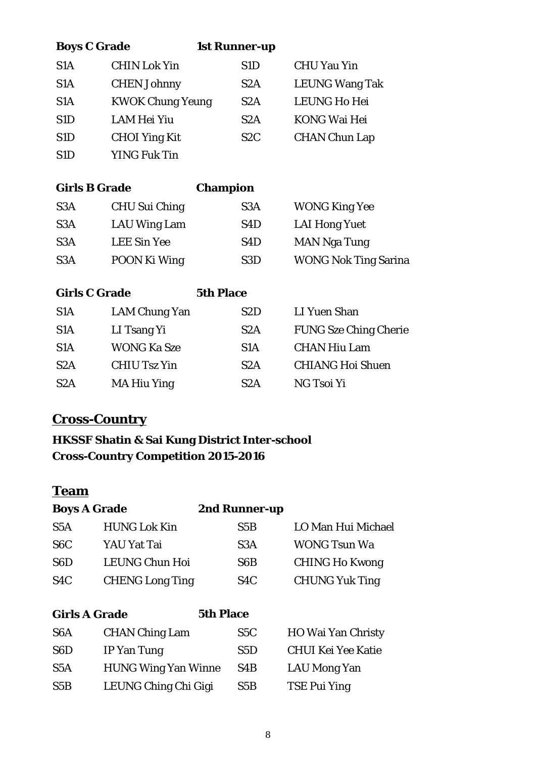| <b>Boys C Grade</b>  |                         | <b>1st Runner-up</b> |                              |
|----------------------|-------------------------|----------------------|------------------------------|
| S1A                  | <b>CHIN Lok Yin</b>     | S <sub>1</sub> D     | <b>CHU Yau Yin</b>           |
| S1A                  | <b>CHEN Johnny</b>      | S2A                  | <b>LEUNG Wang Tak</b>        |
| S1A                  | <b>KWOK Chung Yeung</b> | S2A                  | <b>LEUNG Ho Hei</b>          |
| S <sub>1</sub> D     | <b>LAM Hei Yiu</b>      | S2A                  | <b>KONG Wai Hei</b>          |
| S <sub>1</sub> D     | <b>CHOI Ying Kit</b>    | S <sub>2</sub> C     | <b>CHAN Chun Lap</b>         |
| S <sub>1</sub> D     | <b>YING Fuk Tin</b>     |                      |                              |
|                      |                         |                      |                              |
| <b>Girls B Grade</b> |                         | <b>Champion</b>      |                              |
| S <sub>3</sub> A     | CHU Sui Ching           | S3A                  | <b>WONG King Yee</b>         |
| S3A                  | <b>LAU Wing Lam</b>     | S4D                  | <b>LAI Hong Yuet</b>         |
| S3A                  | <b>LEE Sin Yee</b>      | S4D                  | <b>MAN Nga Tung</b>          |
| S3A                  | POON Ki Wing            | S <sub>3</sub> D     | <b>WONG Nok Ting Sarina</b>  |
|                      |                         |                      |                              |
| <b>Girls C Grade</b> |                         | <b>5th Place</b>     |                              |
| S <sub>1</sub> A     | <b>LAM Chung Yan</b>    | S2D                  | <b>LI Yuen Shan</b>          |
| S1A                  | LI Tsang Yi             | S2A                  | <b>FUNG Sze Ching Cherie</b> |
| S1A                  | <b>WONG Ka Sze</b>      | S1A                  | <b>CHAN Hiu Lam</b>          |
| S2A                  | <b>CHIU Tsz Yin</b>     | S2A                  | <b>CHIANG Hoi Shuen</b>      |
| S2A                  | <b>MA Hiu Ying</b>      | S2A                  | NG Tsoi Yi                   |
|                      |                         |                      |                              |

## **Cross-Country**

## **HKSSF Shatin & Sai Kung District Inter-school Cross-Country Competition 2015-2016**

## **Team**

| <b>Boys A Grade</b>  |                            | 2nd Runner-up    |                           |
|----------------------|----------------------------|------------------|---------------------------|
| S5A                  | <b>HUNG Lok Kin</b>        | S5B              | LO Man Hui Michael        |
| S <sub>6</sub> C     | YAU Yat Tai                | S3A              | <b>WONG Tsun Wa</b>       |
| S <sub>6</sub> D     | LEUNG Chun Hoi             | S <sub>6</sub> B | <b>CHING Ho Kwong</b>     |
| S <sub>4</sub> C     | <b>CHENG Long Ting</b>     | S <sub>4</sub> C | <b>CHUNG Yuk Ting</b>     |
|                      |                            |                  |                           |
| <b>Girls A Grade</b> |                            | <b>5th Place</b> |                           |
| S <sub>6</sub> A     | <b>CHAN Ching Lam</b>      | S5C              | <b>HO Wai Yan Christy</b> |
| S <sub>6</sub> D     | IP Yan Tung                | S5D              | <b>CHUI Kei Yee Katie</b> |
| S5A                  | <b>HUNG Wing Yan Winne</b> | S <sub>4</sub> B | LAU Mong Yan              |

S5B LEUNG Ching Chi Gigi S5B TSE Pui Ying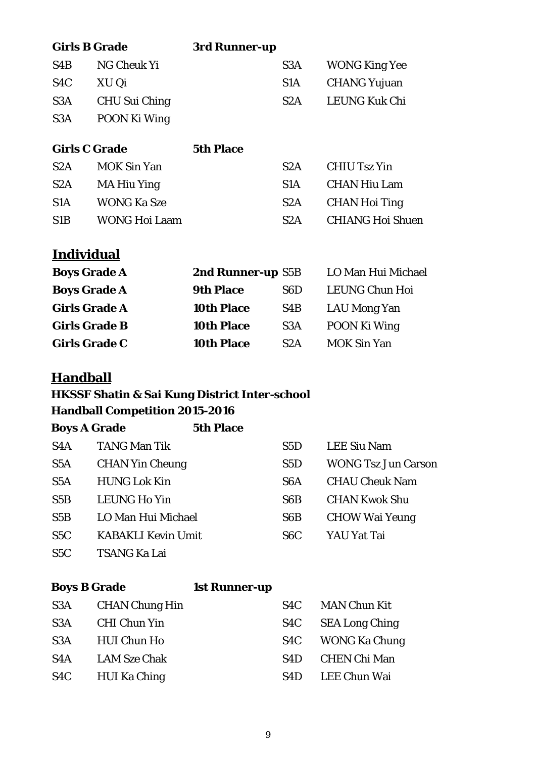| <b>Girls B Grade</b> |                    | 3rd Runner-up    |                  |                      |
|----------------------|--------------------|------------------|------------------|----------------------|
| S <sub>4</sub> B     | NG Cheuk Yi        |                  | S <sub>3</sub> A | <b>WONG King Yee</b> |
| S <sub>4</sub> C     | XU Qi              |                  | S <sub>1</sub> A | <b>CHANG Yujuan</b>  |
| S <sub>3</sub> A     | CHU Sui Ching      |                  | S <sub>2</sub> A | <b>LEUNG Kuk Chi</b> |
| S <sub>3</sub> A     | POON Ki Wing       |                  |                  |                      |
| <b>Girls C Grade</b> |                    | <b>5th Place</b> |                  |                      |
| S2A                  | <b>MOK Sin Yan</b> |                  | S2A              | <b>CHIU Tsz Yin</b>  |

| S <sub>2</sub> A | MA Hiu Ying   | S <sub>1</sub> A | CHAN Hiu Lam      |
|------------------|---------------|------------------|-------------------|
| S <sub>1</sub> A | WONG Ka Sze   |                  | S2A CHAN Hoi Ting |
| S <sub>1</sub> B | WONG Hoi Laam | S <sub>2</sub> A | CHIANG Hoi Shuen  |

## **Individual**

|                   |                  | LO Man Hui Michael |
|-------------------|------------------|--------------------|
| <b>9th Place</b>  | S6D              | LEUNG Chun Hoi     |
| <b>10th Place</b> | S4B              | LAU Mong Yan       |
| <b>10th Place</b> | S <sub>3</sub> A | POON Ki Wing       |
| <b>10th Place</b> | S2A              | <b>MOK Sin Yan</b> |
|                   |                  | 2nd Runner-up S5B  |

#### **Handball**

## **HKSSF Shatin & Sai Kung District Inter-school**

**Handball Competition 2015-2016**

| <b>Boys A Grade</b> |                           | <b>5th Place</b> |                  |                            |
|---------------------|---------------------------|------------------|------------------|----------------------------|
| S <sub>4</sub> A    | <b>TANG Man Tik</b>       |                  | S5D              | <b>LEE Siu Nam</b>         |
| S <sub>5</sub> A    | <b>CHAN Yin Cheung</b>    |                  | S5D              | <b>WONG Tsz Jun Carson</b> |
| S5A                 | <b>HUNG Lok Kin</b>       |                  | S <sub>6</sub> A | <b>CHAU Cheuk Nam</b>      |
| S5B                 | <b>LEUNG Ho Yin</b>       |                  | S <sub>6</sub> B | <b>CHAN Kwok Shu</b>       |
| S5B                 | LO Man Hui Michael        |                  | S6B              | <b>CHOW Wai Yeung</b>      |
| S <sub>5</sub> C    | <b>KABAKLI Kevin Umit</b> |                  | S <sub>6</sub> C | YAU Yat Tai                |
| S5C                 | <b>TSANG Ka Lai</b>       |                  |                  |                            |

#### **Boys B Grade 1st Runner-up**

| S3A              | <b>CHAN Chung Hin</b> | S4C              | <b>MAN Chun Kit</b>   |
|------------------|-----------------------|------------------|-----------------------|
| S3A              | <b>CHI Chun Yin</b>   | S4C              | <b>SEA Long Ching</b> |
| S <sub>3</sub> A | <b>HUI Chun Ho</b>    | S4C              | WONG Ka Chung         |
| S <sub>4</sub> A | <b>LAM Sze Chak</b>   | S <sub>4</sub> D | <b>CHEN Chi Man</b>   |
| S4C              | <b>HUI Ka Ching</b>   | S4D              | LEE Chun Wai          |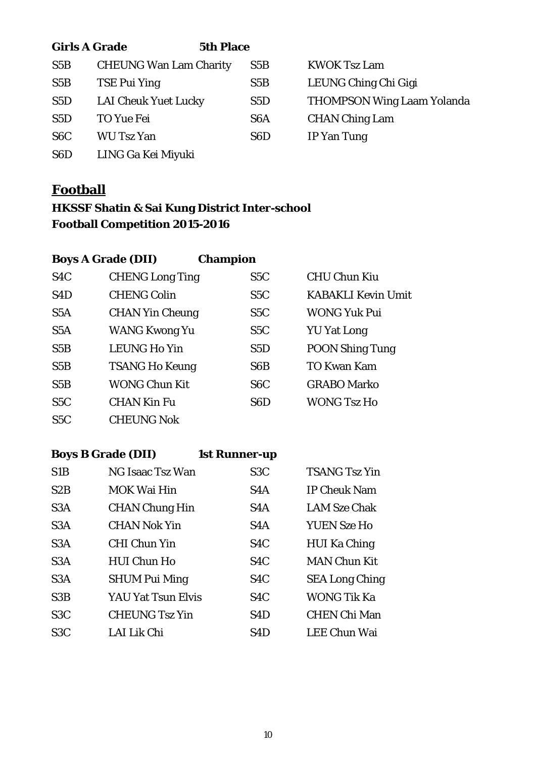| <b>Girls A Grade</b> |                               | <b>5th Place</b> |                  |                                   |
|----------------------|-------------------------------|------------------|------------------|-----------------------------------|
| S5B                  | <b>CHEUNG Wan Lam Charity</b> |                  | S5B              | <b>KWOK Tsz Lam</b>               |
| S5B                  | <b>TSE Pui Ying</b>           |                  | S5B              | LEUNG Ching Chi Gigi              |
| S5D                  | <b>LAI Cheuk Yuet Lucky</b>   |                  | S <sub>5</sub> D | <b>THOMPSON Wing Laam Yolanda</b> |
| S5D                  | TO Yue Fei                    |                  | S <sub>6</sub> A | <b>CHAN Ching Lam</b>             |
| S <sub>6</sub> C     | <b>WU Tsz Yan</b>             |                  | S <sub>6</sub> D | <b>IP Yan Tung</b>                |
| S <sub>6</sub> D     | LING Ga Kei Miyuki            |                  |                  |                                   |

#### **Football**

## **HKSSF Shatin & Sai Kung District Inter-school Football Competition 2015-2016**

| <b>Boys A Grade (DII)</b> | <b>Champion</b>        |                  |                           |
|---------------------------|------------------------|------------------|---------------------------|
| S <sub>4</sub> C          | <b>CHENG Long Ting</b> | S <sub>5</sub> C | <b>CHU Chun Kiu</b>       |
| S <sub>4</sub> D          | <b>CHENG Colin</b>     | S5C              | <b>KABAKLI Kevin Umit</b> |
| S5A                       | <b>CHAN Yin Cheung</b> | S5C              | <b>WONG Yuk Pui</b>       |
| S5A                       | <b>WANG Kwong Yu</b>   | S5C              | <b>YU Yat Long</b>        |
| S5B                       | <b>LEUNG Ho Yin</b>    | S5D              | <b>POON Shing Tung</b>    |
| S5B                       | <b>TSANG Ho Keung</b>  | S <sub>6</sub> B | <b>TO Kwan Kam</b>        |
| S5B                       | <b>WONG Chun Kit</b>   | S <sub>6</sub> C | <b>GRABO Marko</b>        |
| S5C                       | <b>CHAN Kin Fu</b>     | S <sub>6</sub> D | <b>WONG Tsz Ho</b>        |
| S5C                       | <b>CHEUNG Nok</b>      |                  |                           |

## **Boys B Grade (DII) 1st Runner-up**

| S1B              | NG Isaac Tsz Wan      | S <sub>3</sub> C | <b>TSANG Tsz Yin</b>  |
|------------------|-----------------------|------------------|-----------------------|
| S2B              | <b>MOK Wai Hin</b>    | S <sub>4</sub> A | <b>IP Cheuk Nam</b>   |
| S <sub>3</sub> A | <b>CHAN Chung Hin</b> | S <sub>4</sub> A | <b>LAM Sze Chak</b>   |
| S <sub>3</sub> A | <b>CHAN Nok Yin</b>   | S4A              | <b>YUEN Sze Ho</b>    |
| S3A              | <b>CHI Chun Yin</b>   | S <sub>4</sub> C | <b>HUI Ka Ching</b>   |
| S3A              | <b>HUI Chun Ho</b>    | S <sub>4</sub> C | <b>MAN Chun Kit</b>   |
| S <sub>3</sub> A | <b>SHUM Pui Ming</b>  | S <sub>4</sub> C | <b>SEA Long Ching</b> |
| S3B              | YAU Yat Tsun Elvis    | S <sub>4</sub> C | <b>WONG Tik Ka</b>    |
| S <sub>3</sub> C | <b>CHEUNG Tsz Yin</b> | S <sub>4</sub> D | <b>CHEN Chi Man</b>   |
| S <sub>3</sub> C | LAI Lik Chi           | S <sub>4</sub> D | <b>LEE Chun Wai</b>   |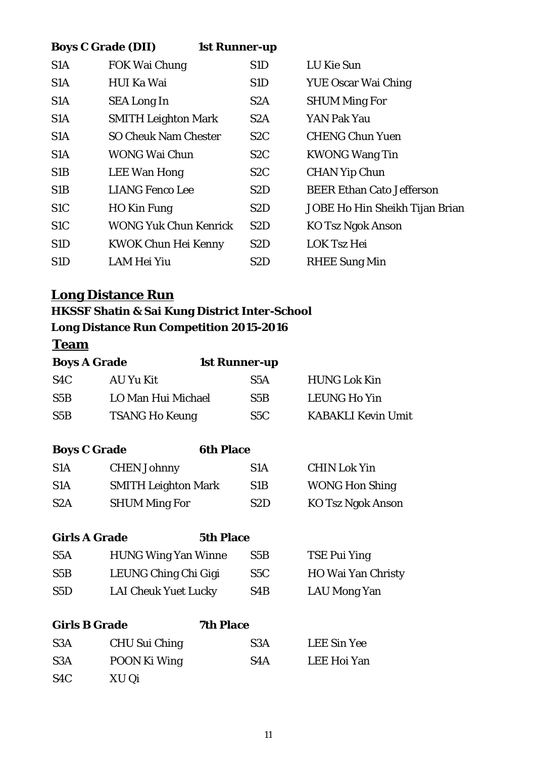|                  | <b>Boys C Grade (DII)</b>    | <b>1st Runner-up</b> |                                  |
|------------------|------------------------------|----------------------|----------------------------------|
| S <sub>1</sub> A | <b>FOK Wai Chung</b>         | S1D                  | LU Kie Sun                       |
| S <sub>1</sub> A | <b>HUI Ka Wai</b>            | S1D                  | <b>YUE Oscar Wai Ching</b>       |
| S <sub>1</sub> A | <b>SEA Long In</b>           | S <sub>2</sub> A     | <b>SHUM Ming For</b>             |
| S <sub>1</sub> A | <b>SMITH Leighton Mark</b>   | S2A                  | YAN Pak Yau                      |
| S1A              | <b>SO Cheuk Nam Chester</b>  | S <sub>2</sub> C     | <b>CHENG Chun Yuen</b>           |
| S1A              | <b>WONG Wai Chun</b>         | S <sub>2</sub> C     | <b>KWONG Wang Tin</b>            |
| S <sub>1</sub> B | <b>LEE Wan Hong</b>          | S <sub>2</sub> C     | <b>CHAN Yip Chun</b>             |
| S1B              | <b>LIANG Fenco Lee</b>       | S <sub>2</sub> D     | <b>BEER Ethan Cato Jefferson</b> |
| S <sub>1</sub> C | <b>HO Kin Fung</b>           | S2D                  | JOBE Ho Hin Sheikh Tijan Brian   |
| S <sub>1</sub> C | <b>WONG Yuk Chun Kenrick</b> | S <sub>2</sub> D     | <b>KO Tsz Ngok Anson</b>         |
| S <sub>1</sub> D | <b>KWOK Chun Hei Kenny</b>   | S <sub>2</sub> D     | <b>LOK Tsz Hei</b>               |
| S <sub>1</sub> D | LAM Hei Yiu                  | S <sub>2</sub> D     | <b>RHEE Sung Min</b>             |
|                  |                              |                      |                                  |

## **Long Distance Run**

## **HKSSF Shatin & Sai Kung District Inter-School Long Distance Run Competition 2015-2016**

## **Team**

| <b>Boys A Grade</b>  | <b>1st Runner-up</b>        |                  |                           |
|----------------------|-----------------------------|------------------|---------------------------|
| S4C                  | AU Yu Kit                   | S5A              | <b>HUNG Lok Kin</b>       |
| S5B                  | LO Man Hui Michael          | S5B              | <b>LEUNG Ho Yin</b>       |
| S5B                  | <b>TSANG Ho Keung</b>       | S5C              | <b>KABAKLI Kevin Umit</b> |
|                      |                             |                  |                           |
| <b>Boys C Grade</b>  | <b>6th Place</b>            |                  |                           |
| S <sub>1</sub> A     | <b>CHEN Johnny</b>          | S <sub>1</sub> A | <b>CHIN Lok Yin</b>       |
| S1A                  | <b>SMITH Leighton Mark</b>  | S <sub>1</sub> B | <b>WONG Hon Shing</b>     |
| S <sub>2</sub> A     | <b>SHUM Ming For</b>        | S <sub>2</sub> D | <b>KO Tsz Ngok Anson</b>  |
|                      |                             |                  |                           |
| <b>Girls A Grade</b> | <b>5th Place</b>            |                  |                           |
| S <sub>5</sub> A     | <b>HUNG Wing Yan Winne</b>  | S5B              | <b>TSE Pui Ying</b>       |
| S5B                  | LEUNG Ching Chi Gigi        | S5C              | <b>HO Wai Yan Christy</b> |
| S5D                  | <b>LAI Cheuk Yuet Lucky</b> | S4B              | LAU Mong Yan              |
|                      |                             |                  |                           |

| <b>Girls B Grade</b> |               | <b>7th Place</b> |                    |  |
|----------------------|---------------|------------------|--------------------|--|
| S <sub>3</sub> A     | CHU Sui Ching | S <sub>3</sub> A | <b>LEE Sin Yee</b> |  |
| S <sub>3</sub> A     | POON Ki Wing  | S4A              | LEE Hoi Yan        |  |
| S <sub>4</sub> C     | XU Qi         |                  |                    |  |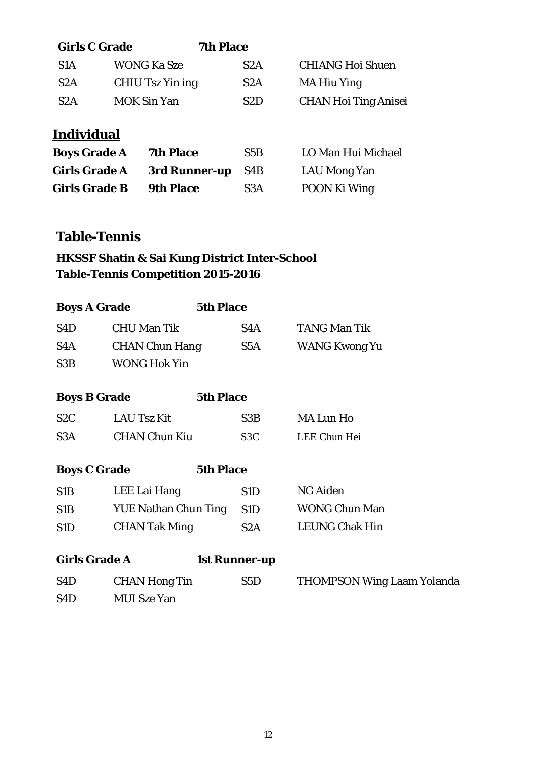| <b>Girls C Grade</b> |                    | <b>7th Place</b> |                             |
|----------------------|--------------------|------------------|-----------------------------|
| S <sub>1</sub> A     | WONG Ka Sze        | S <sub>2</sub> A | <b>CHIANG Hoi Shuen</b>     |
| S2A                  | CHIU Tsz Yin ing   | S <sub>2</sub> A | MA Hiu Ying                 |
| S2A                  | <b>MOK Sin Yan</b> | S <sub>2</sub> D | <b>CHAN Hoi Ting Anisei</b> |

## **Individual**

| <b>Boys Grade A</b>  | <b>7th Place</b> | S5B              | LO Man Hui Michael |
|----------------------|------------------|------------------|--------------------|
| <b>Girls Grade A</b> | 3rd Runner-up    | - S4B            | LAU Mong Yan       |
| <b>Girls Grade B</b> | <b>9th Place</b> | S <sub>3</sub> A | POON Ki Wing       |

## **Table-Tennis**

## **HKSSF Shatin & Sai Kung District Inter-School Table-Tennis Competition 2015-2016**

| <b>Boys A Grade</b>  |                       | <b>5th Place</b>     |                                   |
|----------------------|-----------------------|----------------------|-----------------------------------|
| S4D                  | <b>CHU Man Tik</b>    | S4A                  | <b>TANG Man Tik</b>               |
| S4A                  | <b>CHAN Chun Hang</b> | S5A                  | <b>WANG Kwong Yu</b>              |
| S3B                  | <b>WONG Hok Yin</b>   |                      |                                   |
| <b>Boys B Grade</b>  |                       | <b>5th Place</b>     |                                   |
| S2C                  | <b>LAU Tsz Kit</b>    | S3B                  | <b>MA Lun Ho</b>                  |
| S3A                  | <b>CHAN Chun Kiu</b>  | S <sub>3</sub> C     | LEE Chun Hei                      |
| <b>Boys C Grade</b>  |                       | <b>5th Place</b>     |                                   |
| S1B                  | LEE Lai Hang          | S1D                  | <b>NG Aiden</b>                   |
| S1B                  | YUE Nathan Chun Ting  | S1D                  | <b>WONG Chun Man</b>              |
| S <sub>1</sub> D     | <b>CHAN Tak Ming</b>  | S <sub>2</sub> A     | <b>LEUNG Chak Hin</b>             |
| <b>Girls Grade A</b> |                       | <b>1st Runner-up</b> |                                   |
| S4D                  | <b>CHAN Hong Tin</b>  | S5D                  | <b>THOMPSON Wing Laam Yolanda</b> |
| S <sub>4</sub> D     | <b>MUI</b> Sze Yan    |                      |                                   |
|                      |                       |                      |                                   |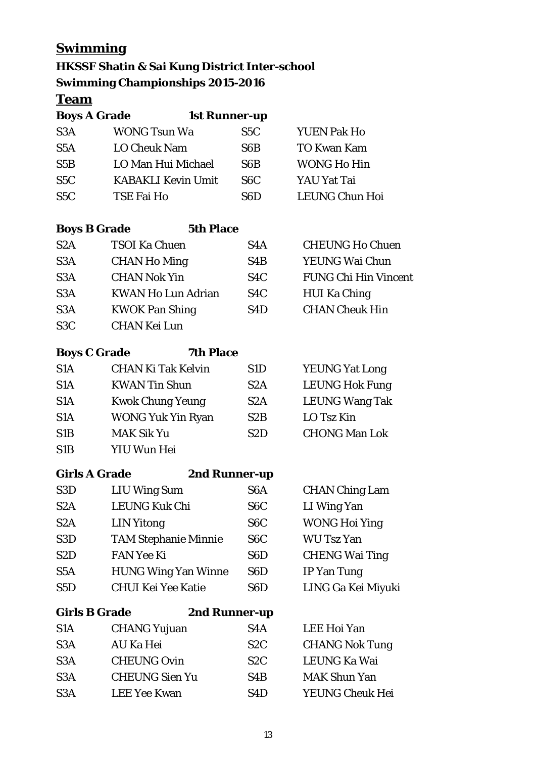## **Swimming**

### **HKSSF Shatin & Sai Kung District Inter-school Swimming Championships 2015-2016**

#### **Team**

| <b>Boys A Grade</b>       | <b>1st Runner-up</b> |                       |  |
|---------------------------|----------------------|-----------------------|--|
| <b>WONG Tsun Wa</b>       | S <sub>5</sub> C     | <b>YUEN Pak Ho</b>    |  |
| <b>LO Cheuk Nam</b>       | S <sub>6</sub> B     | <b>TO Kwan Kam</b>    |  |
| LO Man Hui Michael        | S6B                  | <b>WONG Ho Hin</b>    |  |
| <b>KABAKLI Kevin Umit</b> | S6C                  | YAU Yat Tai           |  |
| TSE Fai Ho                | S <sub>6</sub> D     | <b>LEUNG Chun Hoi</b> |  |
|                           |                      |                       |  |

| <b>Boys B Grade</b> | <b>5th Place</b>          |                  |                             |
|---------------------|---------------------------|------------------|-----------------------------|
| S <sub>2</sub> A    | <b>TSOI Ka Chuen</b>      | S <sub>4</sub> A | <b>CHEUNG Ho Chuen</b>      |
| S <sub>3</sub> A    | <b>CHAN Ho Ming</b>       | S <sub>4</sub> B | YEUNG Wai Chun              |
| S <sub>3</sub> A    | <b>CHAN Nok Yin</b>       | S <sub>4</sub> C | <b>FUNG Chi Hin Vincent</b> |
| S <sub>3</sub> A    | <b>KWAN Ho Lun Adrian</b> | S <sub>4</sub> C | <b>HUI Ka Ching</b>         |
| S <sub>3</sub> A    | <b>KWOK Pan Shing</b>     | S <sub>4</sub> D | <b>CHAN Cheuk Hin</b>       |
| S <sub>3</sub> C    | <b>CHAN Kei Lun</b>       |                  |                             |

| <b>Boys C Grade</b> | <b>7th Place</b>          |                  |                       |
|---------------------|---------------------------|------------------|-----------------------|
| S <sub>1</sub> A    | <b>CHAN Ki Tak Kelvin</b> | S <sub>1</sub> D | <b>YEUNG Yat Long</b> |
| S <sub>1</sub> A    | <b>KWAN Tin Shun</b>      | S2A              | <b>LEUNG Hok Fung</b> |
| S <sub>1</sub> A    | <b>Kwok Chung Yeung</b>   | S2A              | <b>LEUNG Wang Tak</b> |
| S <sub>1</sub> A    | <b>WONG Yuk Yin Ryan</b>  | S2B              | LO Tsz Kin            |
| S1B                 | <b>MAK Sik Yu</b>         | S2D              | <b>CHONG Man Lok</b>  |
| C1D                 | 17 TI TI TI TI T          |                  |                       |

S1B YIU Wun Hei

|  | <b>Girls A Grad</b> |
|--|---------------------|
|  |                     |

**Girls A Grade 2nd Runner-up**

| S <sub>3</sub> D | <b>LIU Wing Sum</b>         | S <sub>6</sub> A | <b>CHAN Ching Lam</b> |
|------------------|-----------------------------|------------------|-----------------------|
| S2A              | <b>LEUNG Kuk Chi</b>        | S <sub>6</sub> C | LI Wing Yan           |
| S2A              | <b>LIN</b> Yitong           | S <sub>6</sub> C | <b>WONG Hoi Ying</b>  |
| S <sub>3</sub> D | <b>TAM Stephanie Minnie</b> | S <sub>6</sub> C | <b>WU Tsz Yan</b>     |
| S <sub>2</sub> D | <b>FAN Yee Ki</b>           | S <sub>6</sub> D | <b>CHENG Wai Ting</b> |
| S <sub>5</sub> A | <b>HUNG Wing Yan Winne</b>  | S <sub>6</sub> D | IP Yan Tung           |
| S5D              | <b>CHUI Kei Yee Katie</b>   | S <sub>6</sub> D | LING Ga Kei Miyuki    |

**Girls B Grade 2nd Runner-up**

| S <sub>1</sub> A | <b>CHANG Yujuan</b>   | S <sub>4</sub> A | LEE Hoi Yan           |
|------------------|-----------------------|------------------|-----------------------|
| S <sub>3</sub> A | AU Ka Hei             | S <sub>2</sub> C | <b>CHANG Nok Tung</b> |
| S <sub>3</sub> A | <b>CHEUNG Ovin</b>    | S2C              | LEUNG Ka Wai          |
| S <sub>3</sub> A | <b>CHEUNG Sien Yu</b> | S4B              | <b>MAK Shun Yan</b>   |
| S <sub>3</sub> A | <b>LEE Yee Kwan</b>   | S <sub>4</sub> D | YEUNG Cheuk Hei       |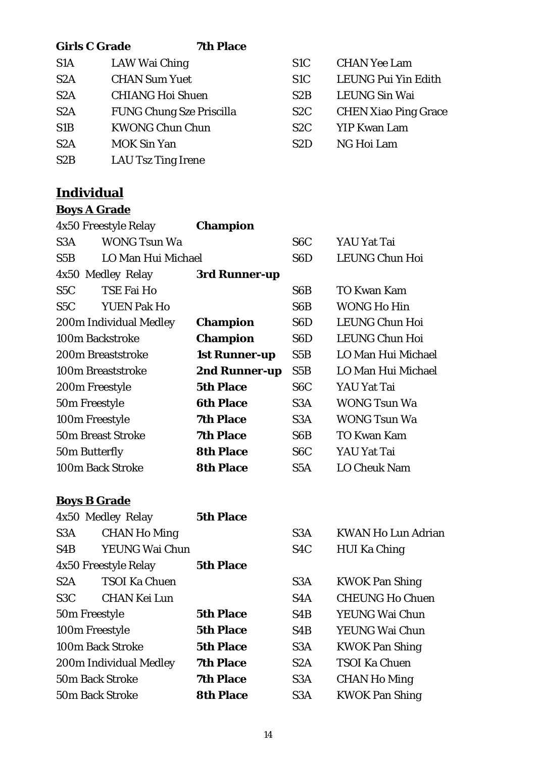| <b>Girls C Grade</b> | <b>7th Place</b>                |                  |                             |
|----------------------|---------------------------------|------------------|-----------------------------|
| S <sub>1</sub> A     | LAW Wai Ching                   | S <sub>1</sub> C | <b>CHAN Yee Lam</b>         |
| S <sub>2</sub> A     | <b>CHAN Sum Yuet</b>            | S <sub>1</sub> C | <b>LEUNG Pui Yin Edith</b>  |
| S2A                  | <b>CHIANG Hoi Shuen</b>         | S2B              | <b>LEUNG Sin Wai</b>        |
| S <sub>2</sub> A     | <b>FUNG Chung Sze Priscilla</b> | S <sub>2</sub> C | <b>CHEN Xiao Ping Grace</b> |
| S <sub>1</sub> B     | <b>KWONG Chun Chun</b>          | S2C              | <b>YIP Kwan Lam</b>         |
| S2A                  | <b>MOK Sin Yan</b>              | S2D              | NG Hoi Lam                  |
| S2B                  | <b>LAU Tsz Ting Irene</b>       |                  |                             |
|                      |                                 |                  |                             |

## **Individual**

#### **Boys A Grade**

| 4x50 Freestyle Relay                    | <b>Champion</b>  |                  |                       |
|-----------------------------------------|------------------|------------------|-----------------------|
| <b>WONG Tsun Wa</b><br>S <sub>3</sub> A |                  | S <sub>6</sub> C | YAU Yat Tai           |
| LO Man Hui Michael<br>S5B               |                  | S <sub>6</sub> D | <b>LEUNG Chun Hoi</b> |
| 4x50 Medley Relay                       | 3rd Runner-up    |                  |                       |
| TSE Fai Ho<br>S <sub>5</sub> C          |                  | S <sub>6</sub> B | <b>TO Kwan Kam</b>    |
| <b>YUEN Pak Ho</b><br>S5C               |                  | S6B              | <b>WONG Ho Hin</b>    |
| 200m Individual Medley                  | <b>Champion</b>  | S <sub>6</sub> D | <b>LEUNG Chun Hoi</b> |
| 100m Backstroke                         | <b>Champion</b>  | S <sub>6</sub> D | <b>LEUNG Chun Hoi</b> |
| 200m Breaststroke                       | 1st Runner-up    | S5B              | LO Man Hui Michael    |
| 100m Breaststroke                       | 2nd Runner-up    | S5B              | LO Man Hui Michael    |
| 200m Freestyle                          | <b>5th Place</b> | S <sub>6</sub> C | YAU Yat Tai           |
| 50m Freestyle                           | <b>6th Place</b> | S <sub>3</sub> A | <b>WONG Tsun Wa</b>   |
| 100m Freestyle                          | <b>7th Place</b> | S <sub>3</sub> A | <b>WONG Tsun Wa</b>   |
| <b>50m Breast Stroke</b>                | <b>7th Place</b> | S <sub>6</sub> B | TO Kwan Kam           |
| 50m Butterfly                           | <b>8th Place</b> | S <sub>6</sub> C | YAU Yat Tai           |
| 100m Back Stroke                        | <b>8th Place</b> | S5A              | <b>LO Cheuk Nam</b>   |

## **Boys B Grade**

| 4x50 Medley Relay                       | <b>5th Place</b> |                  |                           |
|-----------------------------------------|------------------|------------------|---------------------------|
| <b>CHAN Ho Ming</b><br>S <sub>3</sub> A |                  | S <sub>3</sub> A | <b>KWAN Ho Lun Adrian</b> |
| <b>YEUNG Wai Chun</b><br>S4B            |                  | S <sub>4</sub> C | <b>HUI Ka Ching</b>       |
| 4x50 Freestyle Relay                    | <b>5th Place</b> |                  |                           |
| <b>TSOI Ka Chuen</b><br>S2A             |                  | S <sub>3</sub> A | <b>KWOK Pan Shing</b>     |
| <b>CHAN Kei Lun</b><br>S <sub>3</sub> C |                  | S <sub>4</sub> A | <b>CHEUNG Ho Chuen</b>    |
| 50m Freestyle                           | <b>5th Place</b> | S <sub>4</sub> B | YEUNG Wai Chun            |
| 100m Freestyle                          | <b>5th Place</b> | S <sub>4</sub> B | <b>YEUNG Wai Chun</b>     |
| 100m Back Stroke                        | <b>5th Place</b> | S <sub>3</sub> A | <b>KWOK Pan Shing</b>     |
| 200m Individual Medley                  | <b>7th Place</b> | S <sub>2</sub> A | <b>TSOI Ka Chuen</b>      |
| <b>50m Back Stroke</b>                  | <b>7th Place</b> | S <sub>3</sub> A | <b>CHAN Ho Ming</b>       |
| <b>50m Back Stroke</b>                  | <b>8th Place</b> | S <sub>3</sub> A | <b>KWOK Pan Shing</b>     |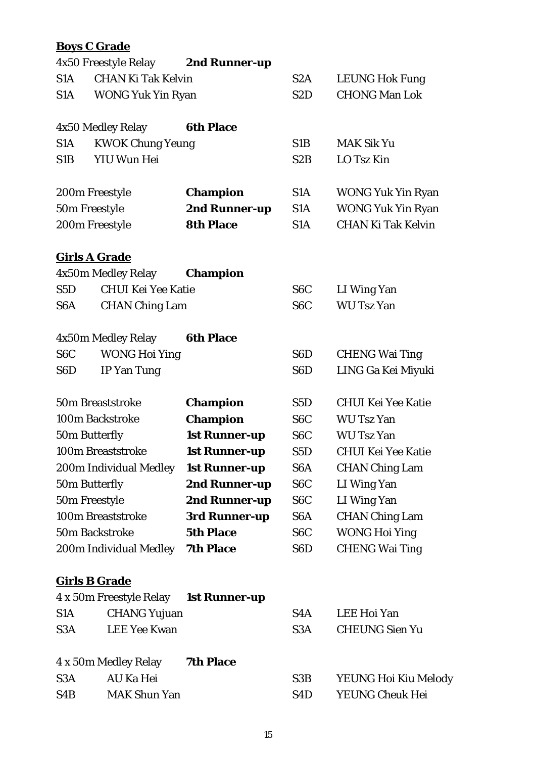## **Boys C Grade**

|                  | 4x50 Freestyle Relay      | 2nd Runner-up        |                  |                           |
|------------------|---------------------------|----------------------|------------------|---------------------------|
| S1A              | <b>CHAN Ki Tak Kelvin</b> |                      | S2A              | <b>LEUNG Hok Fung</b>     |
| S <sub>1</sub> A | <b>WONG Yuk Yin Ryan</b>  |                      | S <sub>2</sub> D | <b>CHONG Man Lok</b>      |
|                  |                           |                      |                  |                           |
|                  | 4x50 Medley Relay         | <b>6th Place</b>     |                  |                           |
| S <sub>1</sub> A | <b>KWOK Chung Yeung</b>   |                      | S <sub>1</sub> B | <b>MAK Sik Yu</b>         |
| S <sub>1</sub> B | YIU Wun Hei               |                      | S2B              | LO Tsz Kin                |
|                  | 200m Freestyle            | <b>Champion</b>      | S <sub>1</sub> A | <b>WONG Yuk Yin Ryan</b>  |
| 50m Freestyle    |                           | 2nd Runner-up        | S <sub>1</sub> A | <b>WONG Yuk Yin Ryan</b>  |
|                  | 200m Freestyle            | <b>8th Place</b>     | S1A              | <b>CHAN Ki Tak Kelvin</b> |
|                  |                           |                      |                  |                           |
|                  | <b>Girls A Grade</b>      |                      |                  |                           |
|                  | 4x50m Medley Relay        | <b>Champion</b>      |                  |                           |
| S5D              | <b>CHUI Kei Yee Katie</b> |                      | S <sub>6</sub> C | LI Wing Yan               |
| S <sub>6</sub> A | <b>CHAN Ching Lam</b>     |                      | S <sub>6</sub> C | <b>WU Tsz Yan</b>         |
|                  |                           |                      |                  |                           |
|                  | 4x50m Medley Relay        | <b>6th Place</b>     |                  |                           |
| S <sub>6</sub> C | <b>WONG Hoi Ying</b>      |                      | S <sub>6</sub> D | <b>CHENG Wai Ting</b>     |
| S <sub>6</sub> D | <b>IP Yan Tung</b>        |                      | S <sub>6</sub> D | LING Ga Kei Miyuki        |
|                  | 50m Breaststroke          | <b>Champion</b>      | S <sub>5</sub> D | <b>CHUI Kei Yee Katie</b> |
|                  | 100m Backstroke           | <b>Champion</b>      | S <sub>6</sub> C | <b>WU Tsz Yan</b>         |
| 50m Butterfly    |                           | <b>1st Runner-up</b> | S <sub>6</sub> C | <b>WU Tsz Yan</b>         |
|                  | 100m Breaststroke         | <b>1st Runner-up</b> | S <sub>5</sub> D | <b>CHUI Kei Yee Katie</b> |
|                  | 200m Individual Medley    | <b>1st Runner-up</b> | S <sub>6</sub> A | <b>CHAN Ching Lam</b>     |
| 50m Butterfly    |                           | 2nd Runner-up        | S <sub>6</sub> C | LI Wing Yan               |
| 50m Freestyle    |                           | 2nd Runner-up        | S <sub>6</sub> C | LI Wing Yan               |
|                  | 100m Breaststroke         | 3rd Runner-up        | S <sub>6</sub> A | <b>CHAN Ching Lam</b>     |
|                  | 50m Backstroke            | <b>5th Place</b>     | S <sub>6</sub> C | <b>WONG Hoi Ying</b>      |
|                  | 200m Individual Medley    | <b>7th Place</b>     | S <sub>6</sub> D | <b>CHENG Wai Ting</b>     |
|                  |                           |                      |                  |                           |
|                  | <b>Girls B Grade</b>      |                      |                  |                           |
|                  | 4 x 50m Freestyle Relay   | <b>1st Runner-up</b> |                  |                           |
| S <sub>1</sub> A | <b>CHANG Yujuan</b>       |                      | S <sub>4</sub> A | LEE Hoi Yan               |
| S <sub>3</sub> A | <b>LEE Yee Kwan</b>       |                      | S <sub>3</sub> A | <b>CHEUNG Sien Yu</b>     |
|                  | 4 x 50m Medley Relay      | <b>7th Place</b>     |                  |                           |
| S <sub>3</sub> A | AU Ka Hei                 |                      | S <sub>3</sub> B | YEUNG Hoi Kiu Melody      |
| S4B              | <b>MAK Shun Yan</b>       |                      | S <sub>4</sub> D | YEUNG Cheuk Hei           |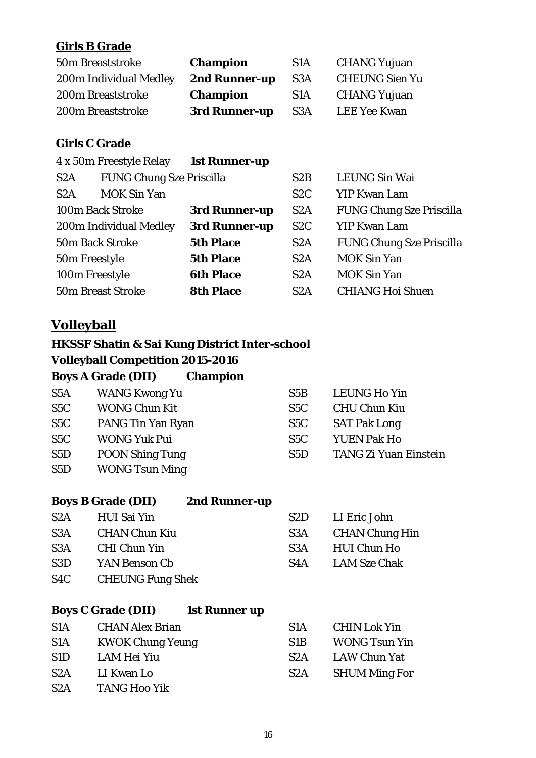#### **Girls B Grade**

| 50m Breaststroke       | <b>Champion</b> | S <sub>1</sub> A | <b>CHANG Yujuan</b>   |
|------------------------|-----------------|------------------|-----------------------|
| 200m Individual Medley | 2nd Runner-up   | S <sub>3</sub> A | <b>CHEUNG Sien Yu</b> |
| 200m Breaststroke      | <b>Champion</b> | S1A              | <b>CHANG Yujuan</b>   |
| 200m Breaststroke      | 3rd Runner-up   | S <sub>3</sub> A | <b>LEE Yee Kwan</b>   |

#### **Girls C Grade**

| 4 x 50m Freestyle Relay |                                 | <b>1st Runner-up</b> |     |                                 |
|-------------------------|---------------------------------|----------------------|-----|---------------------------------|
| S <sub>2</sub> A        | <b>FUNG Chung Sze Priscilla</b> |                      | S2B | <b>LEUNG Sin Wai</b>            |
| S2A                     | <b>MOK Sin Yan</b>              |                      | S2C | <b>YIP Kwan Lam</b>             |
| 100m Back Stroke        |                                 | 3rd Runner-up        | S2A | <b>FUNG Chung Sze Priscilla</b> |
| 200m Individual Medley  |                                 | 3rd Runner-up        | S2C | <b>YIP Kwan Lam</b>             |
| <b>50m Back Stroke</b>  |                                 | <b>5th Place</b>     | S2A | <b>FUNG Chung Sze Priscilla</b> |
| 50m Freestyle           |                                 | <b>5th Place</b>     | S2A | <b>MOK Sin Yan</b>              |
| 100m Freestyle          |                                 | <b>6th Place</b>     | S2A | <b>MOK Sin Yan</b>              |
|                         | <b>50m Breast Stroke</b>        | <b>8th Place</b>     | S2A | <b>CHIANG Hoi Shuen</b>         |

## **Volleyball**

#### **HKSSF Shatin & Sai Kung District Inter-school Volleyball Competition 2015-2016 Boys A Crade (DII)** Champio

|                  | <b>BOYS A Grade (DII)</b><br><b>Champion</b> |                  |                              |
|------------------|----------------------------------------------|------------------|------------------------------|
| S <sub>5</sub> A | WANG Kwong Yu                                | S5B              | <b>LEUNG Ho Yin</b>          |
| S <sub>5</sub> C | <b>WONG Chun Kit</b>                         | S5C              | <b>CHU Chun Kiu</b>          |
| S <sub>5</sub> C | PANG Tin Yan Ryan                            | S <sub>5</sub> C | <b>SAT Pak Long</b>          |
| S <sub>5</sub> C | <b>WONG Yuk Pui</b>                          | S <sub>5</sub> C | <b>YUEN Pak Ho</b>           |
| S5D              | <b>POON Shing Tung</b>                       | S <sub>5</sub> D | <b>TANG Zi Yuan Einstein</b> |
| S5D              | <b>WONG Tsun Ming</b>                        |                  |                              |

#### **Boys B Grade (DII) 2nd Runner-up**

| S2A | HUI Sai Yin             |     | S2D LI Eric John |
|-----|-------------------------|-----|------------------|
| S3A | <b>CHAN Chun Kiu</b>    | S3A | CHAN Chung Hin   |
| S3A | <b>CHI Chun Yin</b>     | S3A | HUI Chun Ho      |
| S3D | YAN Benson Cb           | S4A | LAM Sze Chak     |
| S4C | <b>CHEUNG Fung Shek</b> |     |                  |

#### **Boys C Grade (DII) 1st Runner up**

| S <sub>1</sub> A | <b>CHAN Alex Brian</b>  | S <sub>1</sub> A | <b>CHIN Lok Yin</b>  |
|------------------|-------------------------|------------------|----------------------|
| S <sub>1</sub> A | <b>KWOK Chung Yeung</b> | S <sub>1</sub> B | <b>WONG Tsun Yin</b> |
| S <sub>1</sub> D | LAM Hei Yiu             | S <sub>2</sub> A | LAW Chun Yat         |
| S2A              | LI Kwan Lo              | S <sub>2</sub> A | <b>SHUM Ming For</b> |
| S2A              | <b>TANG Hoo Yik</b>     |                  |                      |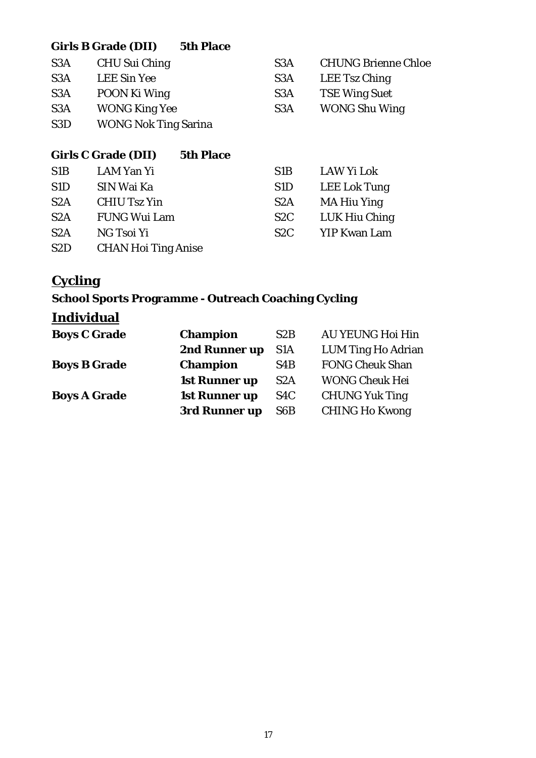## **Girls B Grade (DII) 5th Place**

| CHU Sui Ching               | S <sub>3</sub> A | <b>CHUNG Brienne Chloe</b> |
|-----------------------------|------------------|----------------------------|
| <b>LEE Sin Yee</b>          | S <sub>3</sub> A | LEE Tsz Ching              |
| POON Ki Wing                | S <sub>3</sub> A | <b>TSE Wing Suet</b>       |
| <b>WONG King Yee</b>        | S <sub>3</sub> A | <b>WONG Shu Wing</b>       |
| <b>WONG Nok Ting Sarina</b> |                  |                            |
|                             |                  |                            |

|                  | <b>Girls C Grade (DII)</b> | <b>5th Place</b> |                  |                     |
|------------------|----------------------------|------------------|------------------|---------------------|
| S <sub>1</sub> B | LAM Yan Yi                 |                  | S <sub>1</sub> B | LAW Yi Lok          |
| S <sub>1</sub> D | SIN Wai Ka                 |                  | S <sub>1</sub> D | LEE Lok Tung        |
| S <sub>2</sub> A | <b>CHIU Tsz Yin</b>        |                  | S <sub>2</sub> A | <b>MA Hiu Ying</b>  |
| S <sub>2</sub> A | <b>FUNG Wui Lam</b>        |                  | S <sub>2</sub> C | LUK Hiu Ching       |
| S2A              | NG Tsoi Yi                 |                  | S2C              | <b>YIP Kwan Lam</b> |
| S <sub>2</sub> D | <b>CHAN Hoi Ting Anise</b> |                  |                  |                     |

## **Cycling**

## **School Sports Programme - Outreach Coaching Cycling**

## **Individual**

| <b>Boys C Grade</b> | <b>Champion</b>      | S2B              | <b>AU YEUNG Hoi Hin</b>   |
|---------------------|----------------------|------------------|---------------------------|
|                     | 2nd Runner up        | S <sub>1</sub> A | <b>LUM Ting Ho Adrian</b> |
| <b>Boys B Grade</b> | <b>Champion</b>      | S <sub>4</sub> B | <b>FONG Cheuk Shan</b>    |
|                     | <b>1st Runner up</b> | S <sub>2</sub> A | <b>WONG Cheuk Hei</b>     |
| <b>Boys A Grade</b> | 1st Runner up        | S <sub>4</sub> C | <b>CHUNG Yuk Ting</b>     |
|                     | 3rd Runner up        | S <sub>6</sub> B | <b>CHING Ho Kwong</b>     |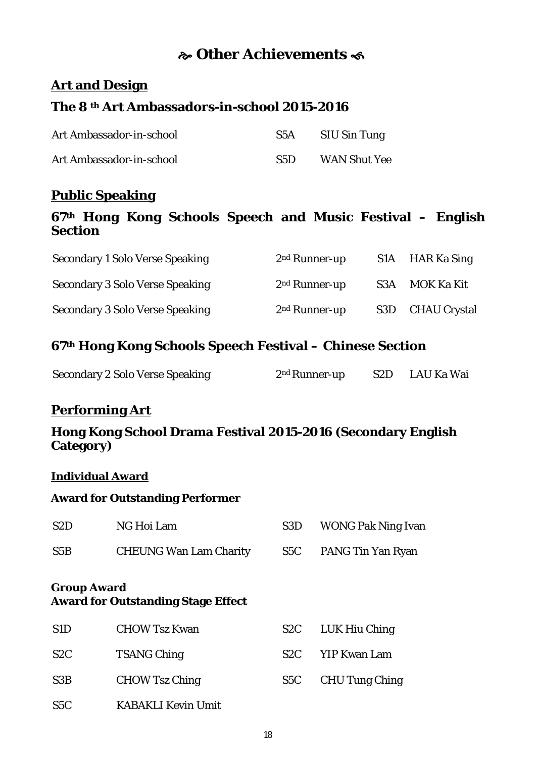## **Other Achievements**

### **Art and Design**

## **The 8 th Art Ambassadors-in-school 2015-2016**

| Art Ambassador-in-school | S5A | SIU Sin Tung        |
|--------------------------|-----|---------------------|
| Art Ambassador-in-school | S5D | <b>WAN Shut Yee</b> |

#### **Public Speaking**

#### **67th Hong Kong Schools Speech and Music Festival – English Section**

| <b>Secondary 1 Solo Verse Speaking</b> | $2nd$ Runner-up | S1A HAR Ka Sing  |
|----------------------------------------|-----------------|------------------|
| <b>Secondary 3 Solo Verse Speaking</b> | $2nd$ Runner-up | S3A MOK Ka Kit   |
| <b>Secondary 3 Solo Verse Speaking</b> | $2nd$ Runner-up | S3D CHAU Crystal |

#### **67th Hong Kong Schools Speech Festival – Chinese Section**

| <b>Secondary 2 Solo Verse Speaking</b> | 2 <sup>nd</sup> Runner-up | S2D LAU Ka Wai |
|----------------------------------------|---------------------------|----------------|
|                                        |                           |                |

#### **Performing Art**

#### **Hong Kong School Drama Festival 2015-2016 (Secondary English Category)**

#### **Individual Award**

#### **Award for Outstanding Performer**

| S <sub>2</sub> D   | NG Hoi Lam                                | S <sub>3</sub> D | <b>WONG Pak Ning Ivan</b> |
|--------------------|-------------------------------------------|------------------|---------------------------|
| S5B                | <b>CHEUNG Wan Lam Charity</b>             | S <sub>5</sub> C | PANG Tin Yan Ryan         |
| <b>Group Award</b> | <b>Award for Outstanding Stage Effect</b> |                  |                           |
| S <sub>1</sub> D   | <b>CHOW Tsz Kwan</b>                      | S <sub>2</sub> C | LUK Hiu Ching             |
| S <sub>2</sub> C   | <b>TSANG Ching</b>                        | S <sub>2</sub> C | <b>YIP Kwan Lam</b>       |
| S3B                | <b>CHOW Tsz Ching</b>                     | S <sub>5</sub> C | <b>CHU Tung Ching</b>     |
| S <sub>5</sub> C   | <b>KABAKLI Kevin Umit</b>                 |                  |                           |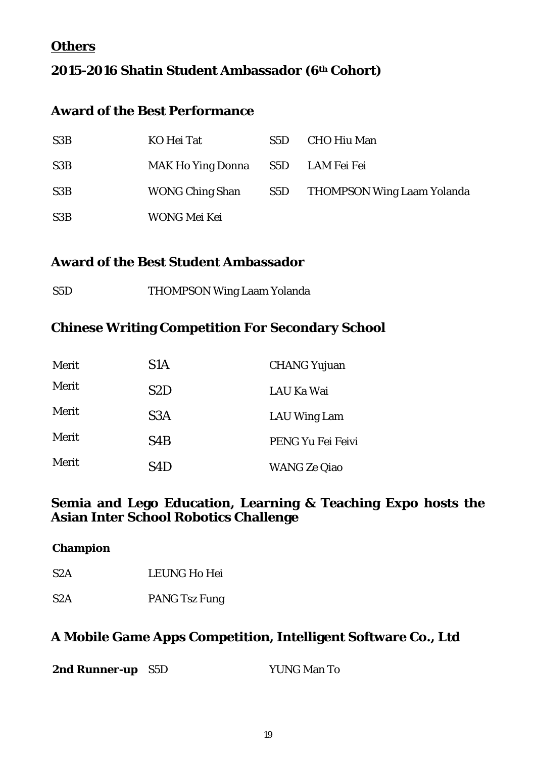### **Others**

## **2015-2016 Shatin Student Ambassador (6th Cohort)**

#### **Award of the Best Performance**

| S <sub>3</sub> B | KO Hei Tat                        | S5D | <b>CHO Hiu Man</b>             |
|------------------|-----------------------------------|-----|--------------------------------|
| S <sub>3</sub> B | MAK Ho Ying Donna S5D LAM Fei Fei |     |                                |
| S <sub>3</sub> B | <b>WONG Ching Shan</b>            |     | S5D THOMPSON Wing Laam Yolanda |
| S <sub>3</sub> B | WONG Mei Kei                      |     |                                |

#### **Award of the Best Student Ambassador**

| S5D | <b>THOMPSON Wing Laam Yolanda</b> |
|-----|-----------------------------------|
|     |                                   |

#### **Chinese Writing Competition For Secondary School**

| Merit | S <sub>1</sub> A | <b>CHANG Yujuan</b> |
|-------|------------------|---------------------|
| Merit | S <sub>2</sub> D | LAU Ka Wai          |
| Merit | S <sub>3</sub> A | <b>LAU Wing Lam</b> |
| Merit | S <sub>4</sub> B | PENG Yu Fei Feivi   |
| Merit | S4D              | <b>WANG Ze Qiao</b> |

#### **Semia and Lego Education, Learning & Teaching Expo hosts the Asian Inter School Robotics Challenge**

| S <sub>2</sub> A | <b>LEUNG Ho Hei</b> |
|------------------|---------------------|

**Champion**

S2A PANG Tsz Fung

#### **A Mobile Game Apps Competition, Intelligent Software Co., Ltd**

| 2nd Runner-up S5D |  | <b>YUNG Man To</b> |
|-------------------|--|--------------------|
|-------------------|--|--------------------|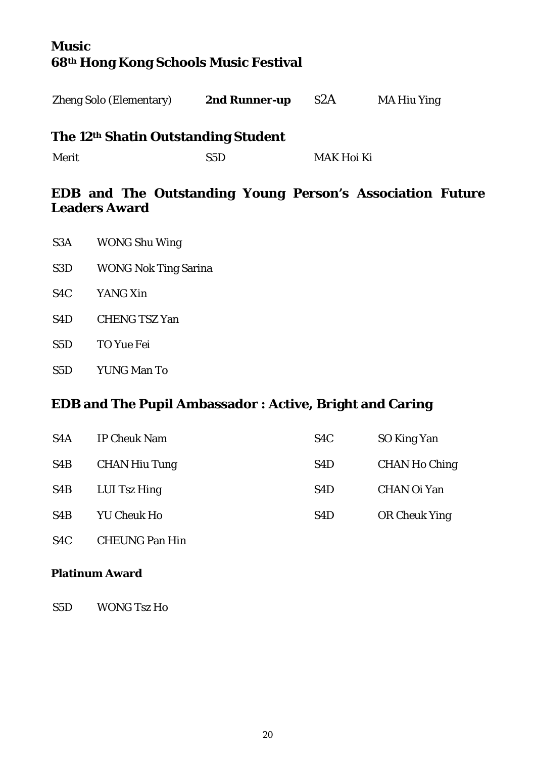## **Music 68th Hong Kong Schools Music Festival**

#### **The 12th Shatin Outstanding Student**

Merit S5D MAK Hoi Ki

#### **EDB and The Outstanding Young Person's Association Future Leaders Award**

- S3A WONG Shu Wing
- S3D WONG Nok Ting Sarina
- S4C YANG Xin
- S4D CHENG TSZ Yan
- S5D TO Yue Fei
- S5D YUNG Man To

#### **EDB and The Pupil Ambassador : Active, Bright and Caring**

| S <sub>4</sub> A | <b>IP Cheuk Nam</b>  | S <sub>4</sub> C | SO King Yan          |
|------------------|----------------------|------------------|----------------------|
| S <sub>4</sub> B | <b>CHAN Hiu Tung</b> | S <sub>4</sub> D | <b>CHAN Ho Ching</b> |
| S <sub>4</sub> B | LUI Tsz Hing         | S <sub>4</sub> D | <b>CHAN Oi Yan</b>   |
| S <sub>4</sub> B | <b>YU Cheuk Ho</b>   | S <sub>4</sub> D | <b>OR Cheuk Ying</b> |

S4C CHEUNG Pan Hin

#### **Platinum Award**

S5D WONG Tsz Ho